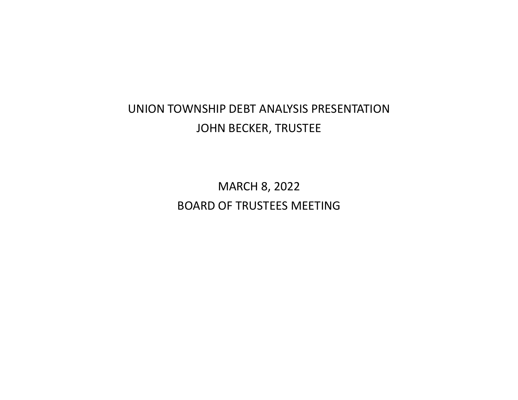# UNION TOWNSHIP DEBT ANALYSIS PRESENTATION JOHN BECKER, TRUSTEE

MARCH 8, 2022 BOARD OF TRUSTEES MEETING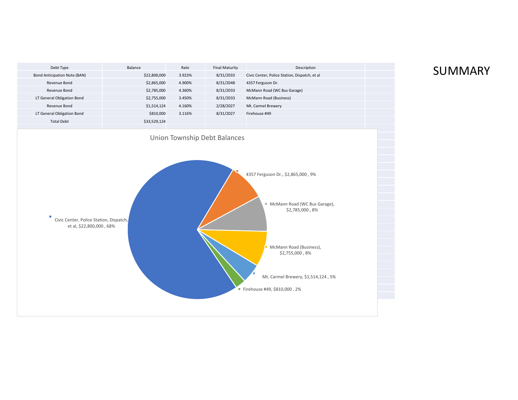

## SUMMARY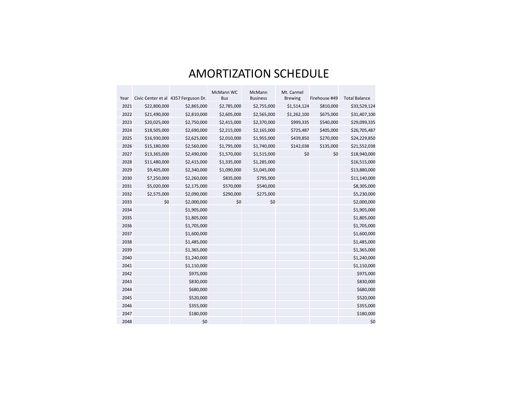# AMORTIZATION SCHEDULE

|      |              |                                      | McMann WC   | McMann          | Mt. Carmel     |               |                      |
|------|--------------|--------------------------------------|-------------|-----------------|----------------|---------------|----------------------|
| Year |              | Civic Center et al 4357 Ferguson Dr. | <b>Bus</b>  | <b>Business</b> | <b>Brewing</b> | Firehouse #49 | <b>Total Balance</b> |
| 2021 | \$22,800,000 | \$2,865,000                          | \$2,785,000 | \$2,755,000     | \$1,514,124    | \$810,000     | \$33,529,124         |
| 2022 | \$21,490,000 | \$2,810,000                          | \$2,605,000 | \$2,565,000     | \$1,262,100    | \$675,000     | \$31,407,100         |
| 2023 | \$20,025,000 | \$2,750,000                          | \$2,415,000 | \$2,370,000     | \$999,335      | \$540,000     | \$29,099,335         |
| 2024 | \$18,505,000 | \$2,690,000                          | \$2,215,000 | \$2,165,000     | \$725,487      | \$405,000     | \$26,705,487         |
| 2025 | \$16,930,000 | \$2,625,000                          | \$2,010,000 | \$1,955,000     | \$439,850      | \$270,000     | \$24,229,850         |
| 2026 | \$15,180,000 | \$2,560,000                          | \$1,795,000 | \$1,740,000     | \$142,038      | \$135,000     | \$21,552,038         |
| 2027 | \$13,365,000 | \$2,490,000                          | \$1,570,000 | \$1,515,000     | \$0            | \$0           | \$18,940,000         |
| 2028 | \$11,480,000 | \$2,415,000                          | \$1,335,000 | \$1,285,000     |                |               | \$16,515,000         |
| 2029 | \$9,405,000  | \$2,340,000                          | \$1,090,000 | \$1,045,000     |                |               | \$13,880,000         |
| 2030 | \$7,250,000  | \$2,260,000                          | \$835,000   | \$795,000       |                |               | \$11,140,000         |
| 2031 | \$5,020,000  | \$2,175,000                          | \$570,000   | \$540,000       |                |               | \$8,305,000          |
| 2032 | \$2,575,000  | \$2,090,000                          | \$290,000   | \$275,000       |                |               | \$5,230,000          |
| 2033 | \$0          | \$2,000,000                          | \$0         | \$0             |                |               | \$2,000,000          |
| 2034 |              | \$1,905,000                          |             |                 |                |               | \$1,905,000          |
| 2035 |              | \$1,805,000                          |             |                 |                |               | \$1,805,000          |
| 2036 |              | \$1,705,000                          |             |                 |                |               | \$1,705,000          |
| 2037 |              | \$1,600,000                          |             |                 |                |               | \$1,600,000          |
| 2038 |              | \$1,485,000                          |             |                 |                |               | \$1,485,000          |
| 2039 |              | \$1,365,000                          |             |                 |                |               | \$1,365,000          |
| 2040 |              | \$1,240,000                          |             |                 |                |               | \$1,240,000          |
| 2041 |              | \$1,110,000                          |             |                 |                |               | \$1,110,000          |
| 2042 |              | \$975,000                            |             |                 |                |               | \$975,000            |
| 2043 |              | \$830,000                            |             |                 |                |               | \$830,000            |
| 2044 |              | \$680,000                            |             |                 |                |               | \$680,000            |
| 2045 |              | \$520,000                            |             |                 |                |               | \$520,000            |
| 2046 |              | \$355,000                            |             |                 |                |               | \$355,000            |
| 2047 |              | \$180,000                            |             |                 |                |               | \$180,000            |
| 2048 |              | \$0                                  |             |                 |                |               | \$0                  |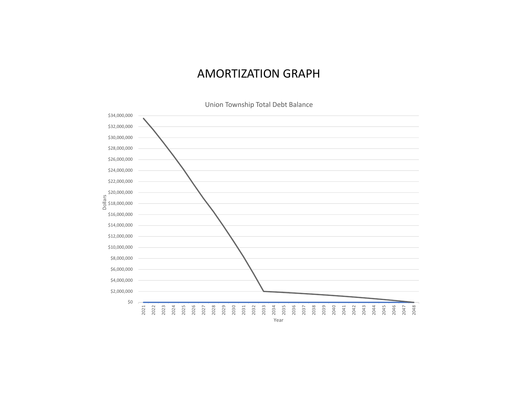#### AMORTIZATION GRAPH

Union Township Total Debt Balance

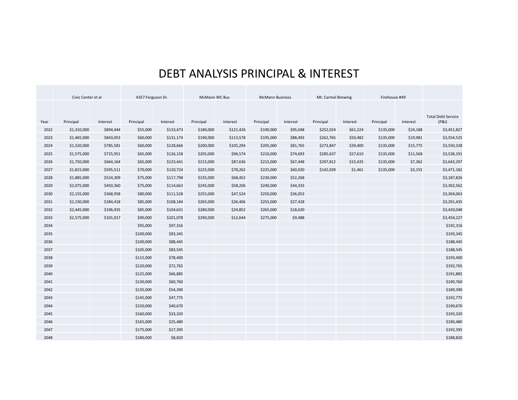## DEBT ANALYSIS PRINCIPAL & INTEREST

|      | Civic Center et al |           | 4357 Ferguson Dr. |           | McMann WC Bus |           | <b>McMann Business</b> |          | Mt. Carmel Brewing |          | Firehouse #49 |          |                                    |
|------|--------------------|-----------|-------------------|-----------|---------------|-----------|------------------------|----------|--------------------|----------|---------------|----------|------------------------------------|
|      |                    |           |                   |           |               |           |                        |          |                    |          |               |          |                                    |
| Year | Principal          | Interest  | Principal         | Interest  | Principal     | Interest  | Principal              | Interest | Principal          | Interest | Principal     | Interest | <b>Total Debt Service</b><br>(P&I) |
| 2022 | \$1,310,000        | \$894,444 | \$55,000          | \$133,473 | \$180,000     | \$121,426 | \$190,000              | \$95,048 | \$252,024          | \$61,224 | \$135,000     | \$24,188 | \$3,451,827                        |
| 2023 | \$1,465,000        | \$843,053 | \$60,000          | \$131,174 | \$190,000     | \$113,578 | \$195,000              | \$88,493 | \$262,765          | \$50,482 | \$135,000     | \$19,981 | \$3,554,525                        |
| 2024 | \$1,520,000        | \$785,581 | \$60,000          | \$128,666 | \$200,000     | \$105,294 | \$205,000              | \$81,765 | \$273,847          | \$39,400 | \$135,000     | \$15,775 | \$3,550,328                        |
| 2025 | \$1,575,000        | \$725,951 | \$65,000          | \$126,158 | \$205,000     | \$96,574  | \$210,000              | \$74,693 | \$285,637          | \$27,610 | \$135,000     | \$11,568 | \$3,538,191                        |
| 2026 | \$1,750,000        | \$664,164 | \$65,000          | \$123,441 | \$215,000     | \$87,636  | \$215,000              | \$67,448 | \$297,812          | \$15,435 | \$135,000     | \$7,362  | \$3,643,297                        |
| 2027 | \$1,815,000        | \$595,511 | \$70,000          | \$120,724 | \$225,000     | \$78,262  | \$225,000              | \$60,030 | \$142,039          | \$1,461  | \$135,000     | \$3,155  | \$3,471,182                        |
| 2028 | \$1,885,000        | \$524,309 | \$75,000          | \$117,798 | \$235,000     | \$68,452  | \$230,000              | \$52,268 |                    |          |               |          | \$3,187,826                        |
| 2029 | \$2,075,000        | \$450,360 | \$75,000          | \$114,663 | \$245,000     | \$58,206  | \$240,000              | \$44,333 |                    |          |               |          | \$3,302,562                        |
| 2030 | \$2,155,000        | \$368,958 | \$80,000          | \$111,528 | \$255,000     | \$47,524  | \$250,000              | \$36,053 |                    |          |               |          | \$3,304,063                        |
| 2031 | \$2,230,000        | \$284,418 | \$85,000          | \$108,184 | \$265,000     | \$36,406  | \$255,000              | \$27,428 |                    |          |               |          | \$3,291,435                        |
| 2032 | \$2,445,000        | \$196,935 | \$85,000          | \$104,631 | \$280,000     | \$24,852  | \$265,000              | \$18,630 |                    |          |               |          | \$3,420,048                        |
| 2033 | \$2,575,000        | \$101,017 | \$90,000          | \$101,078 | \$290,000     | \$12,644  | \$275,000              | \$9,488  |                    |          |               |          | \$3,454,227                        |
| 2034 |                    |           | \$95,000          | \$97,316  |               |           |                        |          |                    |          |               |          | \$192,316                          |
| 2035 |                    |           | \$100,000         | \$93,345  |               |           |                        |          |                    |          |               |          | \$193,345                          |
| 2036 |                    |           | \$100,000         | \$88,445  |               |           |                        |          |                    |          |               |          | \$188,445                          |
| 2037 |                    |           | \$105,000         | \$83,545  |               |           |                        |          |                    |          |               |          | \$188,545                          |
| 2038 |                    |           | \$115,000         | \$78,400  |               |           |                        |          |                    |          |               |          | \$193,400                          |
| 2039 |                    |           | \$120,000         | \$72,765  |               |           |                        |          |                    |          |               |          | \$192,765                          |
| 2040 |                    |           | \$125,000         | \$66,885  |               |           |                        |          |                    |          |               |          | \$191,885                          |
| 2041 |                    |           | \$130,000         | \$60,760  |               |           |                        |          |                    |          |               |          | \$190,760                          |
| 2042 |                    |           | \$135,000         | \$54,390  |               |           |                        |          |                    |          |               |          | \$189,390                          |
| 2043 |                    |           | \$145,000         | \$47,775  |               |           |                        |          |                    |          |               |          | \$192,775                          |
| 2044 |                    |           | \$150,000         | \$40,670  |               |           |                        |          |                    |          |               |          | \$190,670                          |
| 2045 |                    |           | \$160,000         | \$33,320  |               |           |                        |          |                    |          |               |          | \$193,320                          |
| 2046 |                    |           | \$165,000         | \$25,480  |               |           |                        |          |                    |          |               |          | \$190,480                          |
| 2047 |                    |           | \$175,000         | \$17,395  |               |           |                        |          |                    |          |               |          | \$192,395                          |
| 2048 |                    |           | \$180,000         | \$8,820   |               |           |                        |          |                    |          |               |          | \$188,820                          |